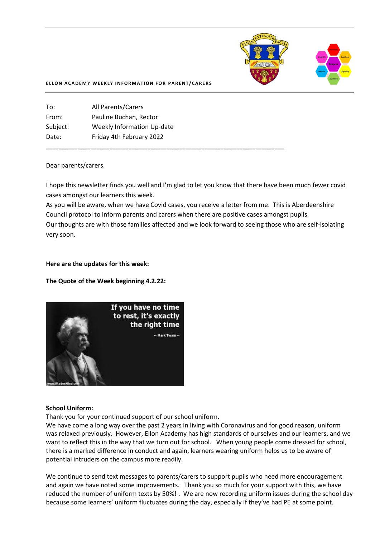

#### **ELLON ACADEMY WEEKLY INFORMATION FOR PARENT/CARERS**

| To:      | <b>All Parents/Carers</b>  |
|----------|----------------------------|
| From:    | Pauline Buchan, Rector     |
| Subject: | Weekly Information Up-date |
| Date:    | Friday 4th February 2022   |
|          |                            |

#### Dear parents/carers.

I hope this newsletter finds you well and I'm glad to let you know that there have been much fewer covid cases amongst our learners this week.

**\_\_\_\_\_\_\_\_\_\_\_\_\_\_\_\_\_\_\_\_\_\_\_\_\_\_\_\_\_\_\_\_\_\_\_\_\_\_\_\_\_\_\_\_\_\_\_\_\_\_\_\_\_\_\_\_\_\_\_\_\_\_\_\_\_\_\_\_\_\_\_\_\_\_\_**

As you will be aware, when we have Covid cases, you receive a letter from me. This is Aberdeenshire Council protocol to inform parents and carers when there are positive cases amongst pupils. Our thoughts are with those families affected and we look forward to seeing those who are self-isolating very soon.

#### **Here are the updates for this week:**

### **The Quote of the Week beginning 4.2.22:**



#### **School Uniform:**

Thank you for your continued support of our school uniform.

We have come a long way over the past 2 years in living with Coronavirus and for good reason, uniform was relaxed previously. However, Ellon Academy has high standards of ourselves and our learners, and we want to reflect this in the way that we turn out for school. When young people come dressed for school, there is a marked difference in conduct and again, learners wearing uniform helps us to be aware of potential intruders on the campus more readily.

We continue to send text messages to parents/carers to support pupils who need more encouragement and again we have noted some improvements. Thank you so much for your support with this, we have reduced the number of uniform texts by 50%! . We are now recording uniform issues during the school day because some learners' uniform fluctuates during the day, especially if they've had PE at some point.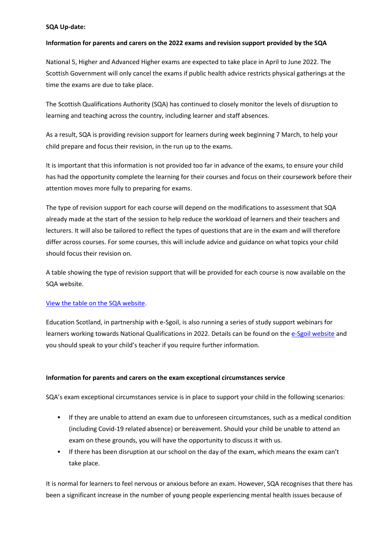## **SQA Up-date:**

## **Information for parents and carers on the 2022 exams and revision support provided by the SQA**

National 5, Higher and Advanced Higher exams are expected to take place in April to June 2022. The Scottish Government will only cancel the exams if public health advice restricts physical gatherings at the time the exams are due to take place.

The Scottish Qualifications Authority (SQA) has continued to closely monitor the levels of disruption to learning and teaching across the country, including learner and staff absences.

As a result, SQA is providing revision support for learners during week beginning 7 March, to help your child prepare and focus their revision, in the run up to the exams.

It is important that this information is not provided too far in advance of the exams, to ensure your child has had the opportunity complete the learning for their courses and focus on their coursework before their attention moves more fully to preparing for exams.

The type of revision support for each course will depend on the modifications to assessment that SQA already made at the start of the session to help reduce the workload of learners and their teachers and lecturers. It will also be tailored to reflect the types of questions that are in the exam and will therefore differ across courses. For some courses, this will include advice and guidance on what topics your child should focus their revision on.

A table showing the type of revision support that will be provided for each course is now available on the SQA website.

### [View the table on the SQA website.](https://www.sqa.org.uk/sqa/100366.html?utm_source=sqanews&utm_medium=email&utm_campaign=nq2022&utm_content=revision-support)

Education Scotland, in partnership with e-Sgoil, is also running a series of study support webinars for learners working towards National Qualifications in 2022. Details can be found on the [e-Sgoil website](https://www.e-sgoil.com/study-support/) and you should speak to your child's teacher if you require further information.

### **Information for parents and carers on the exam exceptional circumstances service**

SQA's exam exceptional circumstances service is in place to support your child in the following scenarios:

- **EXT** If they are unable to attend an exam due to unforeseen circumstances, such as a medical condition (including Covid-19 related absence) or bereavement. Should your child be unable to attend an exam on these grounds, you will have the opportunity to discuss it with us.
- If there has been disruption at our school on the day of the exam, which means the exam can't take place.

It is normal for learners to feel nervous or anxious before an exam. However, SQA recognises that there has been a significant increase in the number of young people experiencing mental health issues because of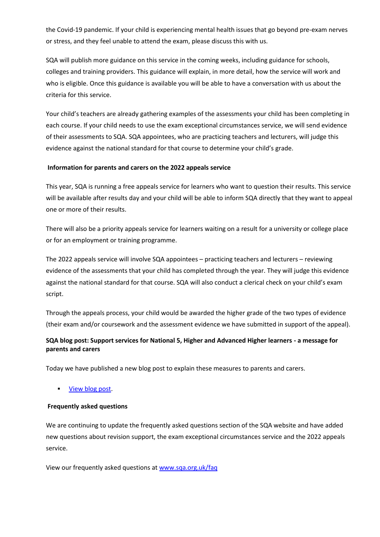the Covid-19 pandemic. If your child is experiencing mental health issues that go beyond pre-exam nerves or stress, and they feel unable to attend the exam, please discuss this with us.

SQA will publish more guidance on this service in the coming weeks, including guidance for schools, colleges and training providers. This guidance will explain, in more detail, how the service will work and who is eligible. Once this guidance is available you will be able to have a conversation with us about the criteria for this service.

Your child's teachers are already gathering examples of the assessments your child has been completing in each course. If your child needs to use the exam exceptional circumstances service, we will send evidence of their assessments to SQA. SQA appointees, who are practicing teachers and lecturers, will judge this evidence against the national standard for that course to determine your child's grade.

## **Information for parents and carers on the 2022 appeals service**

This year, SQA is running a free appeals service for learners who want to question their results. This service will be available after results day and your child will be able to inform SQA directly that they want to appeal one or more of their results.

There will also be a priority appeals service for learners waiting on a result for a university or college place or for an employment or training programme.

The 2022 appeals service will involve SQA appointees – practicing teachers and lecturers – reviewing evidence of the assessments that your child has completed through the year. They will judge this evidence against the national standard for that course. SQA will also conduct a clerical check on your child's exam script.

Through the appeals process, your child would be awarded the higher grade of the two types of evidence (their exam and/or coursework and the assessment evidence we have submitted in support of the appeal).

# **SQA blog post: Support services for National 5, Higher and Advanced Higher learners - a message for parents and carers**

Today we have published a new blog post to explain these measures to parents and carers.

[View blog post.](https://blogs.sqa.org.uk/qualifications2022/support-services-for-national-5-higher-and-advanced-higher-learners-a-message-for-parents-and-carers/?utm_source=sqanews&utm_medium=email&utm_campaign=nq2022&utm_content=nq2022)

### **Frequently asked questions**

We are continuing to update the frequently asked questions section of the SQA website and have added new questions about revision support, the exam exceptional circumstances service and the 2022 appeals service.

View our frequently asked questions at [www.sqa.org.uk/faq](http://www.sqa.org.uk/faq?utm_source=sqanews&utm_medium=email&utm_campaign=nq2022&utm_content=nq2022-faq)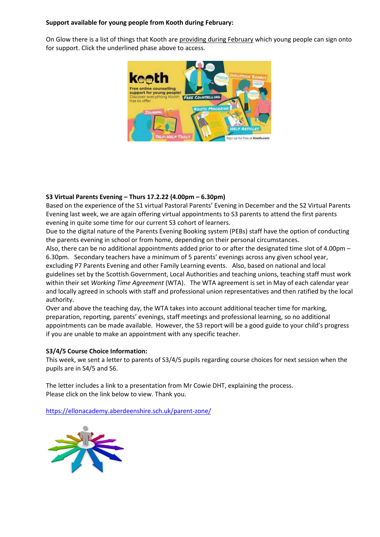## **Support available for young people from Kooth during February:**

On Glow there is a list of things that Kooth are [providing during February](https://aberdeenshirecouncil.us14.list-manage.com/track/click?u=a2c7db1bfe78825cafcf85cb8&id=f7a0e3464d&e=27b883d6fa) which young people can sign onto for support. Click the underlined phase above to access.



# **S3 Virtual Parents Evening – Thurs 17.2.22 (4.00pm – 6.30pm)**

Based on the experience of the S1 virtual Pastoral Parents' Evening in December and the S2 Virtual Parents Evening last week, we are again offering virtual appointments to S3 parents to attend the first parents evening in quite some time for our current S3 cohort of learners.

Due to the digital nature of the Parents Evening Booking system (PEBs) staff have the option of conducting the parents evening in school or from home, depending on their personal circumstances.

Also, there can be no additional appointments added prior to or after the designated time slot of 4.00pm – 6.30pm. Secondary teachers have a minimum of 5 parents' evenings across any given school year, excluding P7 Parents Evening and other Family Learning events. Also, based on national and local guidelines set by the Scottish Government, Local Authorities and teaching unions, teaching staff must work within their set *Working Time Agreement* (WTA). The WTA agreement is set in May of each calendar year and locally agreed in schools with staff and professional union representatives and then ratified by the local

authority. Over and above the teaching day, the WTA takes into account additional teacher time for marking, preparation, reporting, parents' evenings, staff meetings and professional learning, so no additional appointments can be made available. However, the S3 report will be a good guide to your child's progress if you are unable to make an appointment with any specific teacher.

# **S3/4/5 Course Choice Information:**

This week, we sent a letter to parents of S3/4/5 pupils regarding course choices for next session when the pupils are in S4/5 and S6.

The letter includes a link to a presentation from Mr Cowie DHT, explaining the process. Please click on the link below to view. Thank you.

[https://ellonacademy.aberdeenshire.sch.uk/parent-zone/](https://ellonacademy.aberdeenshire.sch.uk/parent-zone/?fbclid=IwAR3O9NlEYzADvLSn3vspwAxkaDsvl_qmk7JvWM_vdj83tl8OfTiQZ5ujbQY)

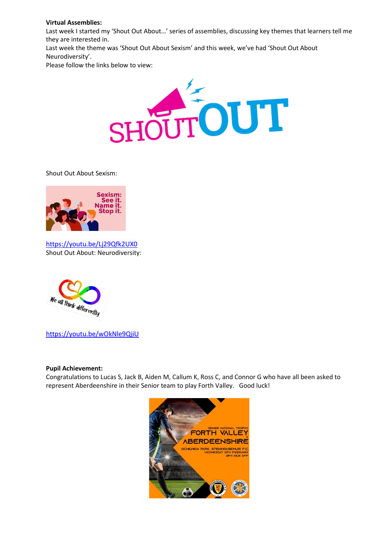## **Virtual Assemblies:**

Last week I started my 'Shout Out About…' series of assemblies, discussing key themes that learners tell me they are interested in. Last week the theme was 'Shout Out About Sexism' and this week, we've had 'Shout Out About

Neurodiversity'.

Please follow the links below to view:



Shout Out About Sexism:



<https://youtu.be/Lj29Qfk2UX0> Shout Out About: Neurodiversity:



<https://youtu.be/wOkNle9QjiU>

### **Pupil Achievement:**

Congratulations to Lucas S, Jack B, Aiden M, Callum K, Ross C, and Connor G who have all been asked to represent Aberdeenshire in their Senior team to play Forth Valley. Good luck!

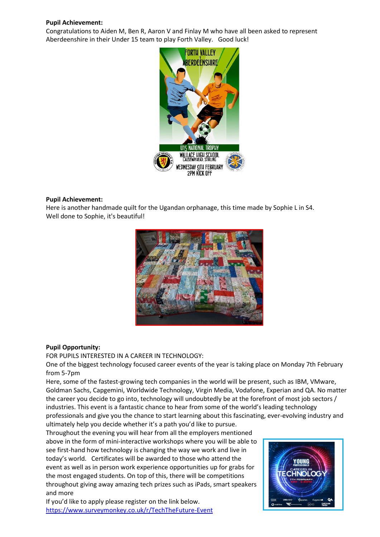### **Pupil Achievement:**

Congratulations to Aiden M, Ben R, Aaron V and Finlay M who have all been asked to represent Aberdeenshire in their Under 15 team to play Forth Valley. Good luck!



### **Pupil Achievement:**

Here is another handmade quilt for the Ugandan orphanage, this time made by Sophie L in S4. Well done to Sophie, it's beautiful!



### **Pupil Opportunity:**

FOR PUPILS INTERESTED IN A CAREER IN TECHNOLOGY:

One of the biggest technology focused career events of the year is taking place on Monday 7th February from 5-7pm

Here, some of the fastest-growing tech companies in the world will be present, such as IBM, VMware, Goldman Sachs, Capgemini, Worldwide Technology, Virgin Media, Vodafone, Experian and QA. No matter the career you decide to go into, technology will undoubtedly be at the forefront of most job sectors / industries. This event is a fantastic chance to hear from some of the world's leading technology professionals and give you the chance to start learning about this fascinating, ever-evolving industry and

ultimately help you decide whether it's a path you'd like to pursue. Throughout the evening you will hear from all the employers mentioned above in the form of mini-interactive workshops where you will be able to see first-hand how technology is changing the way we work and live in today's world. Certificates will be awarded to those who attend the event as well as in person work experience opportunities up for grabs for the most engaged students. On top of this, there will be competitions throughout giving away amazing tech prizes such as iPads, smart speakers and more

If you'd like to apply please register on the link below. [https://www.surveymonkey.co.uk/r/TechTheFuture-Event](https://www.surveymonkey.co.uk/r/TechTheFuture-Event?fbclid=IwAR2SGr3EPk2tEKFxlhtp1zaLANxkO2hf84Hh7BhXVtXOF3ifHoEXozj9n4M) 

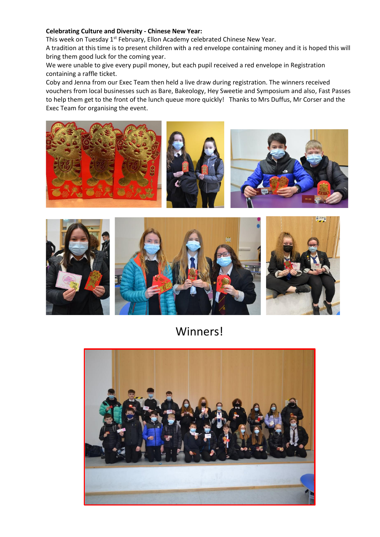## **Celebrating Culture and Diversity - Chinese New Year:**

This week on Tuesday 1<sup>st</sup> February, Ellon Academy celebrated Chinese New Year.

A tradition at this time is to present children with a red envelope containing money and it is hoped this will bring them good luck for the coming year.

We were unable to give every pupil money, but each pupil received a red envelope in Registration containing a raffle ticket.

Coby and Jenna from our Exec Team then held a live draw during registration. The winners received vouchers from local businesses such as Bare, Bakeology, Hey Sweetie and Symposium and also, Fast Passes to help them get to the front of the lunch queue more quickly! Thanks to Mrs Duffus, Mr Corser and the Exec Team for organising the event.





Winners!

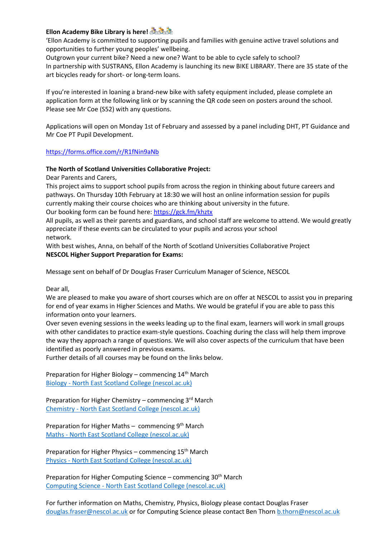# **Ellon Academy Bike Library is here!**

'Ellon Academy is committed to supporting pupils and families with genuine active travel solutions and opportunities to further young peoples' wellbeing.

Outgrown your current bike? Need a new one? Want to be able to cycle safely to school? In partnership with SUSTRANS, Ellon Academy is launching its new BIKE LIBRARY. There are 35 state of the art bicycles ready for short- or long-term loans.

If you're interested in loaning a brand-new bike with safety equipment included, please complete an application form at the following link or by scanning the QR code seen on posters around the school. Please see Mr Coe (S52) with any questions.

Applications will open on Monday 1st of February and assessed by a panel including DHT, PT Guidance and Mr Coe PT Pupil Development.

[https://forms.office.com/r/R1fNin9aNb](https://forms.office.com/r/R1fNin9aNb?fbclid=IwAR0ttlUqyrQsWxMe2TCphgU6xIYaLD-9Tk3NMUEpUKpDaAqTE7sGocte9w0)

## **The North of Scotland Universities Collaborative Project:**

Dear Parents and Carers,

This project aims to support school pupils from across the region in thinking about future careers and pathways. On Thursday 10th February at 18:30 we will host an online information session for pupils currently making their course choices who are thinking about university in the future. Our booking form can be found here: [https://gck.fm/khztx](https://gck.fm/khztx?fbclid=IwAR2pOZ1rXacahK-8OMkUtvLy9MJrz6L9RgzwOdPEMtvqUTgmrWOX-8rkkQE)

All pupils, as well as their parents and guardians, and school staff are welcome to attend. We would greatly appreciate if these events can be circulated to your pupils and across your school network.

With best wishes, Anna, on behalf of the North of Scotland Universities Collaborative Project **NESCOL Higher Support Preparation for Exams:**

Message sent on behalf of Dr Douglas Fraser Curriculum Manager of Science, NESCOL

Dear all,

We are pleased to make you aware of short courses which are on offer at NESCOL to assist you in preparing for end of year exams in Higher Sciences and Maths. We would be grateful if you are able to pass this information onto your learners.

Over seven evening sessions in the weeks leading up to the final exam, learners will work in small groups with other candidates to practice exam-style questions. Coaching during the class will help them improve the way they approach a range of questions. We will also cover aspects of the curriculum that have been identified as poorly answered in previous exams.

Further details of all courses may be found on the links below.

Preparation for Higher Biology – commencing  $14<sup>th</sup>$  March Biology - [North East Scotland College \(nescol.ac.uk\)](https://eur02.safelinks.protection.outlook.com/?url=https%3A%2F%2Fwww.nescol.ac.uk%2Fcourses%2Fpreparation-for-biology-higher-exam%2F&data=04%7C01%7CR.Stirling%40nescol.ac.uk%7C55ec69b32d8d480997dd08d9e0da646d%7Cb8c4db000d5040e1b5eb7b8290a8b9bb%7C0%7C0%7C637788050853101916%7CUnknown%7CTWFpbGZsb3d8eyJWIjoiMC4wLjAwMDAiLCJQIjoiV2luMzIiLCJBTiI6Ik1haWwiLCJXVCI6Mn0%3D%7C3000&sdata=xBVpnZ7XGWcMAnhQDOk5GRk1pG6%2B17yLfY35GhjbRr4%3D&reserved=0)

Preparation for Higher Chemistry – commencing 3rd March Chemistry - [North East Scotland College \(nescol.ac.uk\)](https://eur02.safelinks.protection.outlook.com/?url=https%3A%2F%2Fwww.nescol.ac.uk%2Fcourses%2Fpreparation-for-chemistry-higher-exam%2F&data=04%7C01%7CR.Stirling%40nescol.ac.uk%7C55ec69b32d8d480997dd08d9e0da646d%7Cb8c4db000d5040e1b5eb7b8290a8b9bb%7C0%7C0%7C637788050853101916%7CUnknown%7CTWFpbGZsb3d8eyJWIjoiMC4wLjAwMDAiLCJQIjoiV2luMzIiLCJBTiI6Ik1haWwiLCJXVCI6Mn0%3D%7C3000&sdata=glEpc1xWLut4ELCdgN5hVvqQivS7Vbrbmun7cEb9F9Y%3D&reserved=0)

Preparation for Higher Maths - commencing 9<sup>th</sup> March Maths - [North East Scotland College \(nescol.ac.uk\)](https://eur02.safelinks.protection.outlook.com/?url=https%3A%2F%2Fwww.nescol.ac.uk%2Fcourses%2Fpreparation-for-maths-higher-exam%2F&data=04%7C01%7CR.Stirling%40nescol.ac.uk%7C55ec69b32d8d480997dd08d9e0da646d%7Cb8c4db000d5040e1b5eb7b8290a8b9bb%7C0%7C0%7C637788050853101916%7CUnknown%7CTWFpbGZsb3d8eyJWIjoiMC4wLjAwMDAiLCJQIjoiV2luMzIiLCJBTiI6Ik1haWwiLCJXVCI6Mn0%3D%7C3000&sdata=Lx7e0NW8y%2BkLpSoiNpiX2QiMoQsLwbHNmCNGMhKDk6c%3D&reserved=0)

Preparation for Higher Physics – commencing 15<sup>th</sup> March Physics - [North East Scotland College \(nescol.ac.uk\)](https://eur02.safelinks.protection.outlook.com/?url=https%3A%2F%2Fwww.nescol.ac.uk%2Fcourses%2Fpreparation-for-physics-higher-exam%2F&data=04%7C01%7CR.Stirling%40nescol.ac.uk%7C55ec69b32d8d480997dd08d9e0da646d%7Cb8c4db000d5040e1b5eb7b8290a8b9bb%7C0%7C0%7C637788050853101916%7CUnknown%7CTWFpbGZsb3d8eyJWIjoiMC4wLjAwMDAiLCJQIjoiV2luMzIiLCJBTiI6Ik1haWwiLCJXVCI6Mn0%3D%7C3000&sdata=gix9h6GkYfiy8rLnzbtgtdq7XvBdlSYC1IQOJJ2D5LI%3D&reserved=0)

Preparation for Higher Computing Science – commencing 30<sup>th</sup> March Computing Science - [North East Scotland College \(nescol.ac.uk\)](https://eur02.safelinks.protection.outlook.com/?url=https%3A%2F%2Fwww.nescol.ac.uk%2Fcourses%2Fpreparation-for-computing-science-higher-exam%2F&data=04%7C01%7CR.Stirling%40nescol.ac.uk%7C55ec69b32d8d480997dd08d9e0da646d%7Cb8c4db000d5040e1b5eb7b8290a8b9bb%7C0%7C0%7C637788050853101916%7CUnknown%7CTWFpbGZsb3d8eyJWIjoiMC4wLjAwMDAiLCJQIjoiV2luMzIiLCJBTiI6Ik1haWwiLCJXVCI6Mn0%3D%7C3000&sdata=Cowqku953v9G%2FKzvWzCtms8tFAgm9HVZ5%2BCngfVl%2FAI%3D&reserved=0)

For further information on Maths, Chemistry, Physics, Biology please contact Douglas Fraser [douglas.fraser@nescol.ac.uk](mailto:douglas.fraser@nescol.ac.uk) or for Computing Science please contact Ben Thorn [b.thorn@nescol.ac.uk](mailto:b.thorn@nescol.ac.uk)